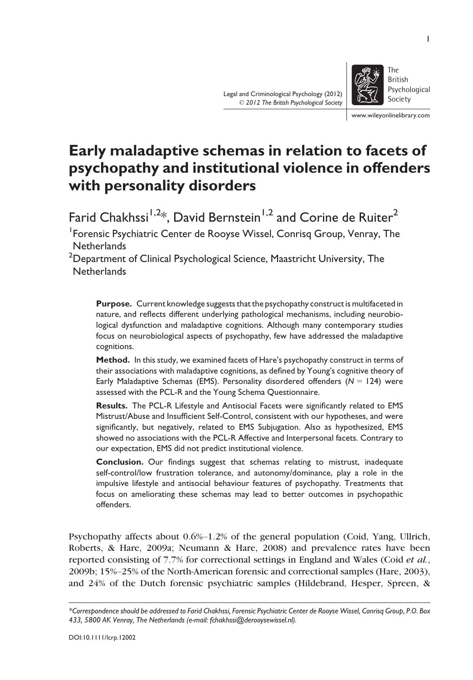Legal and Criminological Psychology (2012) © 2012 The British Psychological Society



The British Psychological Society

Society www.wileyonlinelibrary.com

# Early maladaptive schemas in relation to facets of psychopathy and institutional violence in offenders with personality disorders

Farid Chakhssi<sup>1,2\*</sup>, David Bernstein<sup>1,2</sup> and Corine de Ruiter<sup>2</sup> <sup>1</sup> Forensic Psychiatric Center de Rooyse Wissel, Conrisq Group, Venray, The

**Netherlands** 

 $^{\rm 2}$ Department of Clinical Psychological Science, Maastricht University, The **Netherlands** 

**Purpose.** Current knowledge suggests that the psychopathy construct is multifaceted in nature, and reflects different underlying pathological mechanisms, including neurobiological dysfunction and maladaptive cognitions. Although many contemporary studies focus on neurobiological aspects of psychopathy, few have addressed the maladaptive cognitions.

Method. In this study, we examined facets of Hare's psychopathy construct in terms of their associations with maladaptive cognitions, as defined by Young's cognitive theory of Early Maladaptive Schemas (EMS). Personality disordered offenders ( $N = 124$ ) were assessed with the PCL-R and the Young Schema Questionnaire.

Results. The PCL-R Lifestyle and Antisocial Facets were significantly related to EMS Mistrust/Abuse and Insufficient Self-Control, consistent with our hypotheses, and were significantly, but negatively, related to EMS Subjugation. Also as hypothesized, EMS showed no associations with the PCL-R Affective and Interpersonal facets. Contrary to our expectation, EMS did not predict institutional violence.

Conclusion. Our findings suggest that schemas relating to mistrust, inadequate self-control/low frustration tolerance, and autonomy/dominance, play a role in the impulsive lifestyle and antisocial behaviour features of psychopathy. Treatments that focus on ameliorating these schemas may lead to better outcomes in psychopathic offenders.

Psychopathy affects about 0.6%–1.2% of the general population (Coid, Yang, Ullrich, Roberts, & Hare, 2009a; Neumann & Hare, 2008) and prevalence rates have been reported consisting of 7.7% for correctional settings in England and Wales (Coid et al., 2009b; 15%–25% of the North-American forensic and correctional samples (Hare, 2003), and 24% of the Dutch forensic psychiatric samples (Hildebrand, Hesper, Spreen, &

<sup>\*</sup>Correspondence should be addressed to Farid Chakhssi, Forensic Psychiatric Center de Rooyse Wissel, Conrisq Group, P.O. Box 433, 5800 AK Venray, The Netherlands (e-mail: fchakhssi@derooysewissel.nl).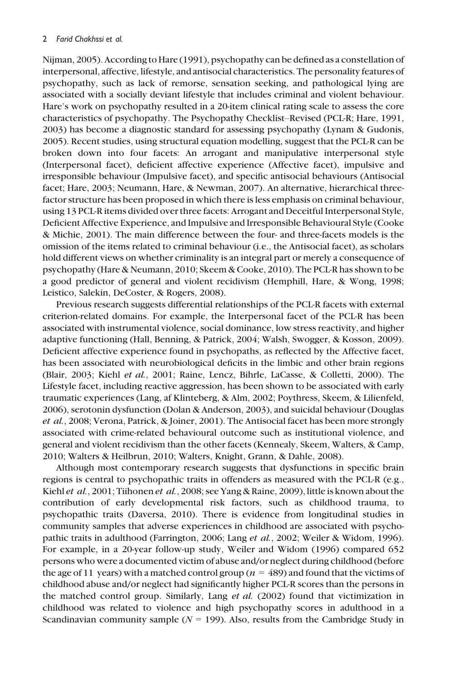Nijman, 2005). According to Hare (1991), psychopathy can be defined as a constellation of interpersonal, affective, lifestyle, and antisocial characteristics. The personality features of psychopathy, such as lack of remorse, sensation seeking, and pathological lying are associated with a socially deviant lifestyle that includes criminal and violent behaviour. Hare's work on psychopathy resulted in a 20-item clinical rating scale to assess the core characteristics of psychopathy. The Psychopathy Checklist–Revised (PCL-R; Hare, 1991, 2003) has become a diagnostic standard for assessing psychopathy (Lynam & Gudonis, 2005). Recent studies, using structural equation modelling, suggest that the PCL-R can be broken down into four facets: An arrogant and manipulative interpersonal style (Interpersonal facet), deficient affective experience (Affective facet), impulsive and irresponsible behaviour (Impulsive facet), and specific antisocial behaviours (Antisocial facet; Hare, 2003; Neumann, Hare, & Newman, 2007). An alternative, hierarchical threefactor structure has been proposed in which there is less emphasis on criminal behaviour, using 13 PCL-R items divided over three facets: Arrogant and Deceitful Interpersonal Style, Deficient Affective Experience, and Impulsive and Irresponsible Behavioural Style (Cooke & Michie, 2001). The main difference between the four- and three-facets models is the omission of the items related to criminal behaviour (i.e., the Antisocial facet), as scholars hold different views on whether criminality is an integral part or merely a consequence of psychopathy (Hare & Neumann, 2010; Skeem & Cooke, 2010). The PCL-R has shown to be a good predictor of general and violent recidivism (Hemphill, Hare, & Wong, 1998; Leistico, Salekin, DeCoster, & Rogers, 2008).

Previous research suggests differential relationships of the PCL-R facets with external criterion-related domains. For example, the Interpersonal facet of the PCL-R has been associated with instrumental violence, social dominance, low stress reactivity, and higher adaptive functioning (Hall, Benning, & Patrick, 2004; Walsh, Swogger, & Kosson, 2009). Deficient affective experience found in psychopaths, as reflected by the Affective facet, has been associated with neurobiological deficits in the limbic and other brain regions (Blair, 2003; Kiehl et al., 2001; Raine, Lencz, Bihrle, LaCasse, & Colletti, 2000). The Lifestyle facet, including reactive aggression, has been shown to be associated with early traumatic experiences (Lang, af Klinteberg, & Alm, 2002; Poythress, Skeem, & Lilienfeld, 2006), serotonin dysfunction (Dolan & Anderson, 2003), and suicidal behaviour (Douglas et al., 2008; Verona, Patrick, & Joiner, 2001). The Antisocial facet has been more strongly associated with crime-related behavioural outcome such as institutional violence, and general and violent recidivism than the other facets (Kennealy, Skeem, Walters, & Camp, 2010; Walters & Heilbrun, 2010; Walters, Knight, Grann, & Dahle, 2008).

Although most contemporary research suggests that dysfunctions in specific brain regions is central to psychopathic traits in offenders as measured with the PCL-R (e.g., Kiehl et al., 2001; Tiihonen et al., 2008; see Yang & Raine, 2009), little is known about the contribution of early developmental risk factors, such as childhood trauma, to psychopathic traits (Daversa, 2010). There is evidence from longitudinal studies in community samples that adverse experiences in childhood are associated with psychopathic traits in adulthood (Farrington, 2006; Lang et al., 2002; Weiler & Widom, 1996). For example, in a 20-year follow-up study, Weiler and Widom (1996) compared 652 persons who were a documented victim of abuse and/or neglect during childhood (before the age of 11 years) with a matched control group ( $n = 489$ ) and found that the victims of childhood abuse and/or neglect had significantly higher PCL-R scores than the persons in the matched control group. Similarly, Lang et al. (2002) found that victimization in childhood was related to violence and high psychopathy scores in adulthood in a Scandinavian community sample ( $N = 199$ ). Also, results from the Cambridge Study in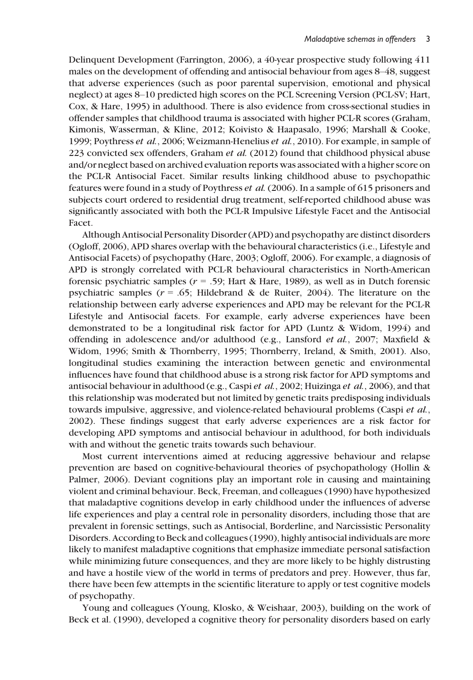Delinquent Development (Farrington, 2006), a 40-year prospective study following 411 males on the development of offending and antisocial behaviour from ages 8–48, suggest that adverse experiences (such as poor parental supervision, emotional and physical neglect) at ages 8–10 predicted high scores on the PCL Screening Version (PCL-SV; Hart, Cox, & Hare, 1995) in adulthood. There is also evidence from cross-sectional studies in offender samples that childhood trauma is associated with higher PCL-R scores (Graham, Kimonis, Wasserman, & Kline, 2012; Koivisto & Haapasalo, 1996; Marshall & Cooke, 1999; Poythress et al., 2006; Weizmann-Henelius et al., 2010). For example, in sample of 223 convicted sex offenders, Graham et al. (2012) found that childhood physical abuse and/or neglect based on archived evaluation reports was associated with a higher score on the PCL-R Antisocial Facet. Similar results linking childhood abuse to psychopathic features were found in a study of Poythress et al. (2006). In a sample of 615 prisoners and subjects court ordered to residential drug treatment, self-reported childhood abuse was significantly associated with both the PCL-R Impulsive Lifestyle Facet and the Antisocial Facet.

Although Antisocial Personality Disorder (APD) and psychopathy are distinct disorders (Ogloff, 2006), APD shares overlap with the behavioural characteristics (i.e., Lifestyle and Antisocial Facets) of psychopathy (Hare, 2003; Ogloff, 2006). For example, a diagnosis of APD is strongly correlated with PCL-R behavioural characteristics in North-American forensic psychiatric samples ( $r = .59$ ; Hart & Hare, 1989), as well as in Dutch forensic psychiatric samples ( $r = .65$ ; Hildebrand & de Ruiter, 2004). The literature on the relationship between early adverse experiences and APD may be relevant for the PCL-R Lifestyle and Antisocial facets. For example, early adverse experiences have been demonstrated to be a longitudinal risk factor for APD (Luntz & Widom, 1994) and offending in adolescence and/or adulthood (e.g., Lansford et al., 2007; Maxfield & Widom, 1996; Smith & Thornberry, 1995; Thornberry, Ireland, & Smith, 2001). Also, longitudinal studies examining the interaction between genetic and environmental influences have found that childhood abuse is a strong risk factor for APD symptoms and antisocial behaviour in adulthood (e.g., Caspi et al., 2002; Huizinga et al., 2006), and that this relationship was moderated but not limited by genetic traits predisposing individuals towards impulsive, aggressive, and violence-related behavioural problems (Caspi et al., 2002). These findings suggest that early adverse experiences are a risk factor for developing APD symptoms and antisocial behaviour in adulthood, for both individuals with and without the genetic traits towards such behaviour.

Most current interventions aimed at reducing aggressive behaviour and relapse prevention are based on cognitive-behavioural theories of psychopathology (Hollin & Palmer, 2006). Deviant cognitions play an important role in causing and maintaining violent and criminal behaviour. Beck, Freeman, and colleagues (1990) have hypothesized that maladaptive cognitions develop in early childhood under the influences of adverse life experiences and play a central role in personality disorders, including those that are prevalent in forensic settings, such as Antisocial, Borderline, and Narcissistic Personality Disorders. According to Beck and colleagues (1990), highly antisocial individuals are more likely to manifest maladaptive cognitions that emphasize immediate personal satisfaction while minimizing future consequences, and they are more likely to be highly distrusting and have a hostile view of the world in terms of predators and prey. However, thus far, there have been few attempts in the scientific literature to apply or test cognitive models of psychopathy.

Young and colleagues (Young, Klosko, & Weishaar, 2003), building on the work of Beck et al. (1990), developed a cognitive theory for personality disorders based on early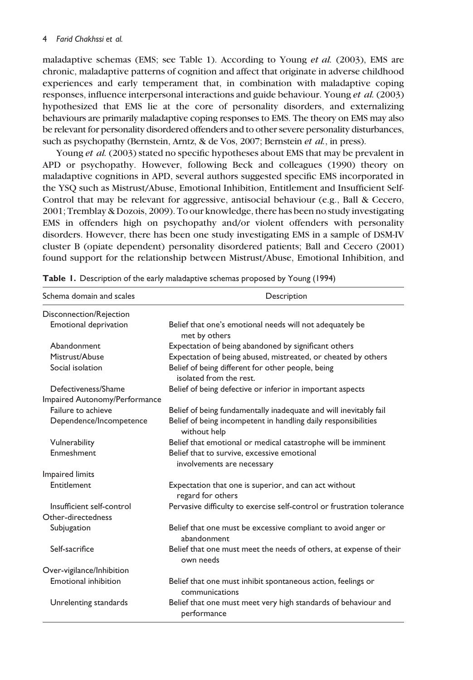maladaptive schemas (EMS; see Table 1). According to Young et al. (2003), EMS are chronic, maladaptive patterns of cognition and affect that originate in adverse childhood experiences and early temperament that, in combination with maladaptive coping responses, influence interpersonal interactions and guide behaviour. Young et al. (2003) hypothesized that EMS lie at the core of personality disorders, and externalizing behaviours are primarily maladaptive coping responses to EMS. The theory on EMS may also be relevant for personality disordered offenders and to other severe personality disturbances, such as psychopathy (Bernstein, Arntz, & de Vos, 2007; Bernstein et al., in press).

Young et al. (2003) stated no specific hypotheses about EMS that may be prevalent in APD or psychopathy. However, following Beck and colleagues (1990) theory on maladaptive cognitions in APD, several authors suggested specific EMS incorporated in the YSQ such as Mistrust/Abuse, Emotional Inhibition, Entitlement and Insufficient Self-Control that may be relevant for aggressive, antisocial behaviour (e.g., Ball & Cecero, 2001; Tremblay & Dozois, 2009). To our knowledge, there has been no study investigating EMS in offenders high on psychopathy and/or violent offenders with personality disorders. However, there has been one study investigating EMS in a sample of DSM-IV cluster B (opiate dependent) personality disordered patients; Ball and Cecero (2001) found support for the relationship between Mistrust/Abuse, Emotional Inhibition, and

| Schema domain and scales                        | Description                                                                     |  |  |  |
|-------------------------------------------------|---------------------------------------------------------------------------------|--|--|--|
| Disconnection/Rejection                         |                                                                                 |  |  |  |
| Emotional deprivation                           | Belief that one's emotional needs will not adequately be<br>met by others       |  |  |  |
| Abandonment                                     | Expectation of being abandoned by significant others                            |  |  |  |
| Mistrust/Abuse                                  | Expectation of being abused, mistreated, or cheated by others                   |  |  |  |
| Social isolation                                | Belief of being different for other people, being<br>isolated from the rest.    |  |  |  |
| Defectiveness/Shame                             | Belief of being defective or inferior in important aspects                      |  |  |  |
| Impaired Autonomy/Performance                   |                                                                                 |  |  |  |
| Failure to achieve                              | Belief of being fundamentally inadequate and will inevitably fail               |  |  |  |
| Dependence/Incompetence                         | Belief of being incompetent in handling daily responsibilities<br>without help  |  |  |  |
| Vulnerability                                   | Belief that emotional or medical catastrophe will be imminent                   |  |  |  |
| Enmeshment                                      | Belief that to survive, excessive emotional<br>involvements are necessary       |  |  |  |
| Impaired limits                                 |                                                                                 |  |  |  |
| Entitlement                                     | Expectation that one is superior, and can act without<br>regard for others      |  |  |  |
| Insufficient self-control<br>Other-directedness | Pervasive difficulty to exercise self-control or frustration tolerance          |  |  |  |
| Subjugation                                     | Belief that one must be excessive compliant to avoid anger or<br>abandonment    |  |  |  |
| Self-sacrifice                                  | Belief that one must meet the needs of others, at expense of their<br>own needs |  |  |  |
| Over-vigilance/Inhibition                       |                                                                                 |  |  |  |
| Emotional inhibition                            | Belief that one must inhibit spontaneous action, feelings or<br>communications  |  |  |  |
| Unrelenting standards                           | Belief that one must meet very high standards of behaviour and<br>performance   |  |  |  |

Table 1. Description of the early maladaptive schemas proposed by Young (1994)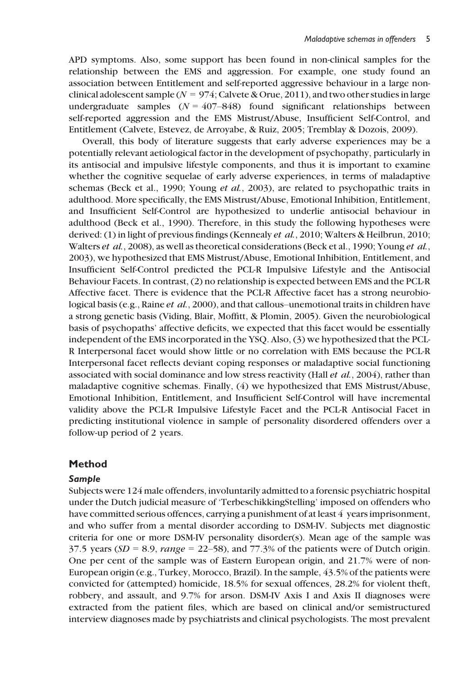APD symptoms. Also, some support has been found in non-clinical samples for the relationship between the EMS and aggression. For example, one study found an association between Entitlement and self-reported aggressive behaviour in a large nonclinical adolescent sample ( $N = 974$ ; Calvete & Orue, 2011), and two other studies in large undergraduate samples  $(N = 407-848)$  found significant relationships between self-reported aggression and the EMS Mistrust/Abuse, Insufficient Self-Control, and Entitlement (Calvete, Estevez, de Arroyabe, & Ruiz, 2005; Tremblay & Dozois, 2009).

Overall, this body of literature suggests that early adverse experiences may be a potentially relevant aetiological factor in the development of psychopathy, particularly in its antisocial and impulsive lifestyle components, and thus it is important to examine whether the cognitive sequelae of early adverse experiences, in terms of maladaptive schemas (Beck et al., 1990; Young et al., 2003), are related to psychopathic traits in adulthood. More specifically, the EMS Mistrust/Abuse, Emotional Inhibition, Entitlement, and Insufficient Self-Control are hypothesized to underlie antisocial behaviour in adulthood (Beck et al., 1990). Therefore, in this study the following hypotheses were derived: (1) in light of previous findings (Kennealy et al., 2010; Walters & Heilbrun, 2010; Walters *et al.*, 2008), as well as theoretical considerations (Beck et al., 1990; Young *et al.*, 2003), we hypothesized that EMS Mistrust/Abuse, Emotional Inhibition, Entitlement, and Insufficient Self-Control predicted the PCL-R Impulsive Lifestyle and the Antisocial Behaviour Facets. In contrast, (2) no relationship is expected between EMS and the PCL-R Affective facet. There is evidence that the PCL-R Affective facet has a strong neurobiological basis (e.g., Raine et al., 2000), and that callous–unemotional traits in children have a strong genetic basis (Viding, Blair, Moffitt, & Plomin, 2005). Given the neurobiological basis of psychopaths' affective deficits, we expected that this facet would be essentially independent of the EMS incorporated in the YSQ. Also, (3) we hypothesized that the PCL-R Interpersonal facet would show little or no correlation with EMS because the PCL-R Interpersonal facet reflects deviant coping responses or maladaptive social functioning associated with social dominance and low stress reactivity (Hall *et al.*, 2004), rather than maladaptive cognitive schemas. Finally, (4) we hypothesized that EMS Mistrust/Abuse, Emotional Inhibition, Entitlement, and Insufficient Self-Control will have incremental validity above the PCL-R Impulsive Lifestyle Facet and the PCL-R Antisocial Facet in predicting institutional violence in sample of personality disordered offenders over a follow-up period of 2 years.

## Method

### Sample

Subjects were 124 male offenders, involuntarily admitted to a forensic psychiatric hospital under the Dutch judicial measure of 'TerbeschikkingStelling' imposed on offenders who have committed serious offences, carrying a punishment of at least 4 years imprisonment, and who suffer from a mental disorder according to DSM-IV. Subjects met diagnostic criteria for one or more DSM-IV personality disorder(s). Mean age of the sample was 37.5 years ( $SD = 8.9$ , range = 22–58), and 77.3% of the patients were of Dutch origin. One per cent of the sample was of Eastern European origin, and 21.7% were of non-European origin (e.g., Turkey, Morocco, Brazil). In the sample, 43.5% of the patients were convicted for (attempted) homicide, 18.5% for sexual offences, 28.2% for violent theft, robbery, and assault, and 9.7% for arson. DSM-IV Axis I and Axis II diagnoses were extracted from the patient files, which are based on clinical and/or semistructured interview diagnoses made by psychiatrists and clinical psychologists. The most prevalent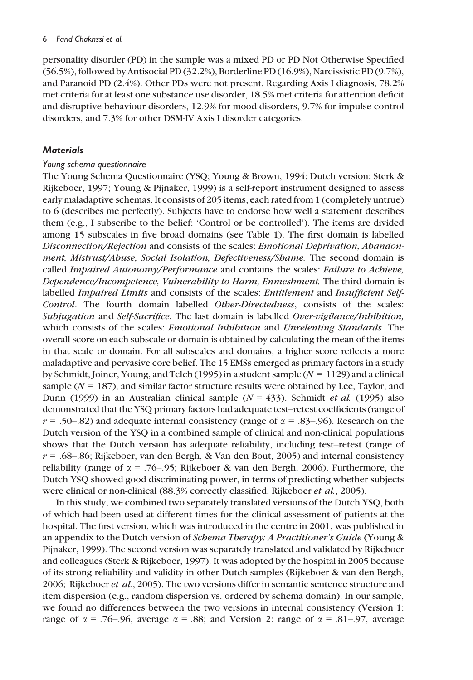personality disorder (PD) in the sample was a mixed PD or PD Not Otherwise Specified (56.5%), followed by Antisocial PD (32.2%), Borderline PD (16.9%), Narcissistic PD (9.7%), and Paranoid PD (2.4%). Other PDs were not present. Regarding Axis I diagnosis, 78.2% met criteria for at least one substance use disorder, 18.5% met criteria for attention deficit and disruptive behaviour disorders, 12.9% for mood disorders, 9.7% for impulse control disorders, and 7.3% for other DSM-IV Axis I disorder categories.

## **Materials**

#### Young schema questionnaire

The Young Schema Questionnaire (YSQ; Young & Brown, 1994; Dutch version: Sterk & Rijkeboer, 1997; Young & Pijnaker, 1999) is a self-report instrument designed to assess early maladaptive schemas. It consists of 205 items, each rated from 1 (completely untrue) to 6 (describes me perfectly). Subjects have to endorse how well a statement describes them (e.g., I subscribe to the belief: 'Control or be controlled'). The items are divided among 15 subscales in five broad domains (see Table 1). The first domain is labelled Disconnection/Rejection and consists of the scales: Emotional Deprivation, Abandonment, Mistrust/Abuse, Social Isolation, Defectiveness/Shame. The second domain is called Impaired Autonomy/Performance and contains the scales: Failure to Achieve, Dependence/Incompetence, Vulnerability to Harm, Enmeshment. The third domain is labelled Impaired Limits and consists of the scales: Entitlement and Insufficient Self-Control. The fourth domain labelled Other-Directedness, consists of the scales: Subjugation and Self-Sacrifice. The last domain is labelled Over-vigilance/Inhibition, which consists of the scales: *Emotional Inhibition* and *Unrelenting Standards*. The overall score on each subscale or domain is obtained by calculating the mean of the items in that scale or domain. For all subscales and domains, a higher score reflects a more maladaptive and pervasive core belief. The 15 EMSs emerged as primary factors in a study by Schmidt, Joiner, Young, and Telch (1995) in a student sample ( $N = 1129$ ) and a clinical sample  $(N = 187)$ , and similar factor structure results were obtained by Lee, Taylor, and Dunn (1999) in an Australian clinical sample ( $N = 433$ ). Schmidt *et al.* (1995) also demonstrated that the YSQ primary factors had adequate test–retest coefficients (range of  $r = .50-.82$ ) and adequate internal consistency (range of  $\alpha = .83-.96$ ). Research on the Dutch version of the YSQ in a combined sample of clinical and non-clinical populations shows that the Dutch version has adequate reliability, including test–retest (range of  $r = .68-.86$ ; Rijkeboer, van den Bergh, & Van den Bout, 2005) and internal consistency reliability (range of  $\alpha = .76-.95$ ; Rijkeboer & van den Bergh, 2006). Furthermore, the Dutch YSQ showed good discriminating power, in terms of predicting whether subjects were clinical or non-clinical (88.3% correctly classified; Rijkeboer et al., 2005).

In this study, we combined two separately translated versions of the Dutch YSQ, both of which had been used at different times for the clinical assessment of patients at the hospital. The first version, which was introduced in the centre in 2001, was published in an appendix to the Dutch version of Schema Therapy: A Practitioner's Guide (Young & Pijnaker, 1999). The second version was separately translated and validated by Rijkeboer and colleagues (Sterk & Rijkeboer, 1997). It was adopted by the hospital in 2005 because of its strong reliability and validity in other Dutch samples (Rijkeboer & van den Bergh, 2006; Rijkeboer et al., 2005). The two versions differ in semantic sentence structure and item dispersion (e.g., random dispersion vs. ordered by schema domain). In our sample, we found no differences between the two versions in internal consistency (Version 1: range of  $\alpha = .76-.96$ , average  $\alpha = .88$ ; and Version 2: range of  $\alpha = .81-.97$ , average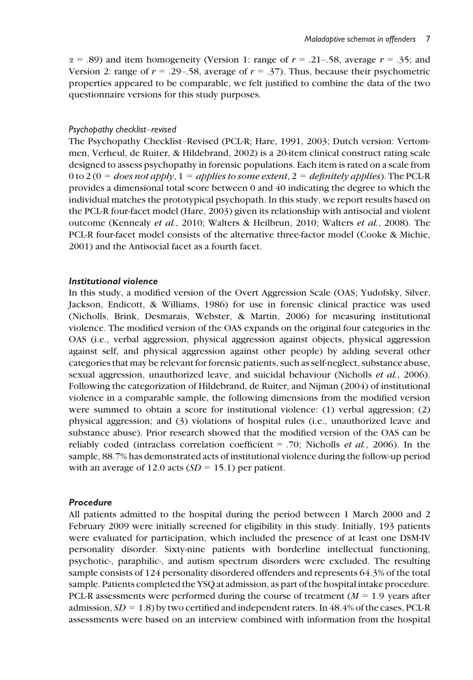$\alpha$  = .89) and item homogeneity (Version 1: range of  $r = .21$ –.58, average  $r = .35$ ; and Version 2: range of  $r = .29-.58$ , average of  $r = .37$ ). Thus, because their psychometric properties appeared to be comparable, we felt justified to combine the data of the two questionnaire versions for this study purposes.

#### Psychopathy checklist–revised

The Psychopathy Checklist–Revised (PCL-R; Hare, 1991, 2003; Dutch version: Vertommen, Verheul, de Ruiter, & Hildebrand, 2002) is a 20-item clinical construct rating scale designed to assess psychopathy in forensic populations. Each item is rated on a scale from 0 to 2 (0 = does not apply, 1 = applies to some extent, 2 = definitely applies). The PCL-R provides a dimensional total score between 0 and 40 indicating the degree to which the individual matches the prototypical psychopath. In this study, we report results based on the PCL-R four-facet model (Hare, 2003) given its relationship with antisocial and violent outcome (Kennealy et al., 2010; Walters & Heilbrun, 2010; Walters et al., 2008). The PCL-R four-facet model consists of the alternative three-factor model (Cooke & Michie, 2001) and the Antisocial facet as a fourth facet.

### Institutional violence

In this study, a modified version of the Overt Aggression Scale (OAS; Yudofsky, Silver, Jackson, Endicott, & Williams, 1986) for use in forensic clinical practice was used (Nicholls, Brink, Desmarais, Webster, & Martin, 2006) for measuring institutional violence. The modified version of the OAS expands on the original four categories in the OAS (i.e., verbal aggression, physical aggression against objects, physical aggression against self, and physical aggression against other people) by adding several other categories that may be relevant for forensic patients, such as self-neglect, substance abuse, sexual aggression, unauthorized leave, and suicidal behaviour (Nicholls et al., 2006). Following the categorization of Hildebrand, de Ruiter, and Nijman (2004) of institutional violence in a comparable sample, the following dimensions from the modified version were summed to obtain a score for institutional violence: (1) verbal aggression; (2) physical aggression; and (3) violations of hospital rules (i.e., unauthorized leave and substance abuse). Prior research showed that the modified version of the OAS can be reliably coded (intraclass correlation coefficient  $= .70$ ; Nicholls *et al.*, 2006). In the sample, 88.7% has demonstrated acts of institutional violence during the follow-up period with an average of 12.0 acts ( $SD = 15.1$ ) per patient.

### Procedure

All patients admitted to the hospital during the period between 1 March 2000 and 2 February 2009 were initially screened for eligibility in this study. Initially, 193 patients were evaluated for participation, which included the presence of at least one DSM-IV personality disorder. Sixty-nine patients with borderline intellectual functioning, psychotic-, paraphilic-, and autism spectrum disorders were excluded. The resulting sample consists of 124 personality disordered offenders and represents 64.3% of the total sample. Patients completed the YSQ at admission, as part of the hospital intake procedure. PCL-R assessments were performed during the course of treatment  $(M = 1.9$  years after admission,  $SD = 1.8$ ) by two certified and independent raters. In 48.4% of the cases, PCL-R assessments were based on an interview combined with information from the hospital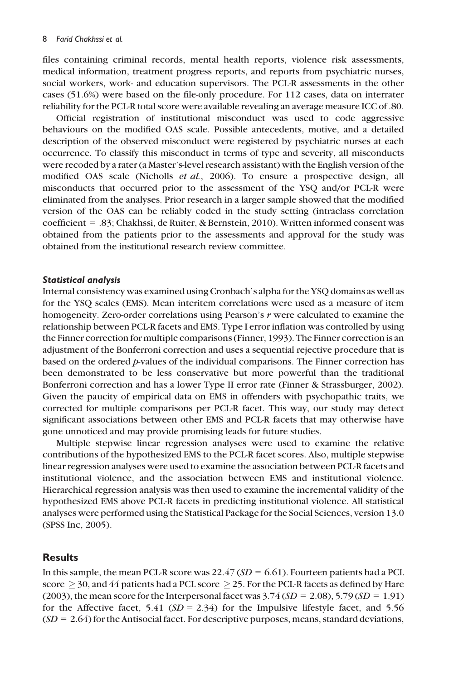files containing criminal records, mental health reports, violence risk assessments, medical information, treatment progress reports, and reports from psychiatric nurses, social workers, work- and education supervisors. The PCL-R assessments in the other cases (51.6%) were based on the file-only procedure. For 112 cases, data on interrater reliability for the PCL-R total score were available revealing an average measure ICC of .80.

Official registration of institutional misconduct was used to code aggressive behaviours on the modified OAS scale. Possible antecedents, motive, and a detailed description of the observed misconduct were registered by psychiatric nurses at each occurrence. To classify this misconduct in terms of type and severity, all misconducts were recoded by a rater (a Master's-level research assistant) with the English version of the modified OAS scale (Nicholls *et al.*, 2006). To ensure a prospective design, all misconducts that occurred prior to the assessment of the YSQ and/or PCL-R were eliminated from the analyses. Prior research in a larger sample showed that the modified version of the OAS can be reliably coded in the study setting (intraclass correlation coefficient = .83; Chakhssi, de Ruiter, & Bernstein, 2010). Written informed consent was obtained from the patients prior to the assessments and approval for the study was obtained from the institutional research review committee.

#### Statistical analysis

Internal consistency was examined using Cronbach's alpha for the YSQ domains as well as for the YSQ scales (EMS). Mean interitem correlations were used as a measure of item homogeneity. Zero-order correlations using Pearson's r were calculated to examine the relationship between PCL-R facets and EMS. Type I error inflation was controlled by using the Finner correction for multiple comparisons (Finner, 1993). The Finner correction is an adjustment of the Bonferroni correction and uses a sequential rejective procedure that is based on the ordered p-values of the individual comparisons. The Finner correction has been demonstrated to be less conservative but more powerful than the traditional Bonferroni correction and has a lower Type II error rate (Finner & Strassburger, 2002). Given the paucity of empirical data on EMS in offenders with psychopathic traits, we corrected for multiple comparisons per PCL-R facet. This way, our study may detect significant associations between other EMS and PCL-R facets that may otherwise have gone unnoticed and may provide promising leads for future studies.

Multiple stepwise linear regression analyses were used to examine the relative contributions of the hypothesized EMS to the PCL-R facet scores. Also, multiple stepwise linear regression analyses were used to examine the association between PCL-R facets and institutional violence, and the association between EMS and institutional violence. Hierarchical regression analysis was then used to examine the incremental validity of the hypothesized EMS above PCL-R facets in predicting institutional violence. All statistical analyses were performed using the Statistical Package for the Social Sciences, version 13.0 (SPSS Inc, 2005).

#### Results

In this sample, the mean PCL-R score was  $22.47(SD = 6.61)$ . Fourteen patients had a PCL score  $>$  30, and 44 patients had a PCL score  $>$  25. For the PCL-R facets as defined by Hare (2003), the mean score for the Interpersonal facet was  $3.74 \text{ (SD} = 2.08)$ ,  $5.79 \text{ (SD} = 1.91)$ for the Affective facet, 5.41 ( $SD = 2.34$ ) for the Impulsive lifestyle facet, and 5.56  $(SD = 2.64)$  for the Antisocial facet. For descriptive purposes, means, standard deviations,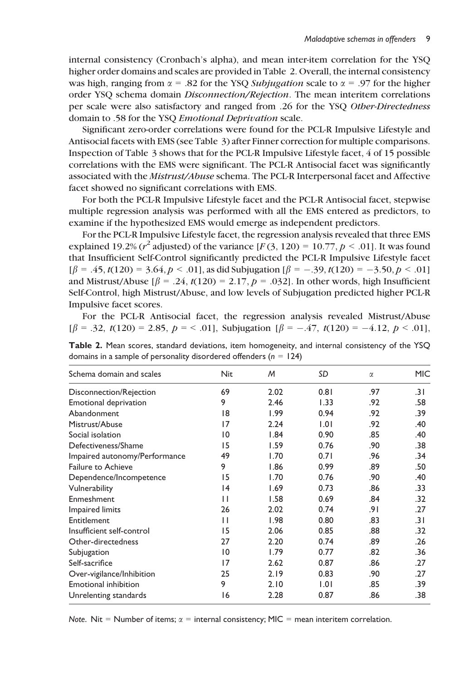internal consistency (Cronbach's alpha), and mean inter-item correlation for the YSQ higher order domains and scales are provided in Table 2. Overall, the internal consistency was high, ranging from  $\alpha$  = .82 for the YSQ *Subjugation* scale to  $\alpha$  = .97 for the higher order YSQ schema domain Disconnection/Rejection. The mean interitem correlations per scale were also satisfactory and ranged from .26 for the YSQ Other-Directedness domain to .58 for the YSQ Emotional Deprivation scale.

Significant zero-order correlations were found for the PCL-R Impulsive Lifestyle and Antisocial facets with EMS (see Table 3) after Finner correction for multiple comparisons. Inspection of Table 3 shows that for the PCL-R Impulsive Lifestyle facet, 4 of 15 possible correlations with the EMS were significant. The PCL-R Antisocial facet was significantly associated with the Mistrust/Abuse schema. The PCL-R Interpersonal facet and Affective facet showed no significant correlations with EMS.

For both the PCL-R Impulsive Lifestyle facet and the PCL-R Antisocial facet, stepwise multiple regression analysis was performed with all the EMS entered as predictors, to examine if the hypothesized EMS would emerge as independent predictors.

For the PCL-R Impulsive Lifestyle facet, the regression analysis revealed that three EMS explained 19.2% ( $r^2$  adjusted) of the variance [ $F(3, 120) = 10.77, p \le .01$ ]. It was found that Insufficient Self-Control significantly predicted the PCL-R Impulsive Lifestyle facet  $[\beta = .45, t(120) = 3.64, p < .01]$ , as did Subjugation  $[\beta = -.39, t(120) = -3.50, p < .01]$ and Mistrust/Abuse  $\beta = .24$ ,  $t(120) = 2.17$ ,  $p = .032$ . In other words, high Insufficient Self-Control, high Mistrust/Abuse, and low levels of Subjugation predicted higher PCL-R Impulsive facet scores.

For the PCL-R Antisocial facet, the regression analysis revealed Mistrust/Abuse  $[\beta = .32, t(120) = 2.85, p = < .01]$ , Subjugation  $[\beta = -.47, t(120) = -4.12, p < .01]$ ,

| Schema domain and scales      | Nit             | M    | SD   | $\alpha$ | <b>MIC</b> |
|-------------------------------|-----------------|------|------|----------|------------|
| Disconnection/Rejection       | 69              | 2.02 | 0.81 | .97      | .31        |
| Emotional deprivation         | 9               | 2.46 | 1.33 | .92      | .58        |
| Abandonment                   | 18              | 1.99 | 0.94 | .92      | .39        |
| Mistrust/Abuse                | 7               | 2.24 | 1.01 | .92      | .40        |
| Social isolation              | 10              | 1.84 | 0.90 | .85      | .40        |
| Defectiveness/Shame           | 15              | 1.59 | 0.76 | .90      | .38        |
| Impaired autonomy/Performance | 49              | 1.70 | 0.71 | .96      | .34        |
| <b>Failure to Achieve</b>     | 9               | 1.86 | 0.99 | .89      | .50        |
| Dependence/Incompetence       | 15              | 1.70 | 0.76 | .90      | .40        |
| Vulnerability                 | $\overline{14}$ | 1.69 | 0.73 | .86      | .33        |
| Enmeshment                    | $\mathsf{I}$    | 1.58 | 0.69 | .84      | .32        |
| Impaired limits               | 26              | 2.02 | 0.74 | .91      | .27        |
| Entitlement                   | Н               | 1.98 | 0.80 | .83      | .31        |
| Insufficient self-control     | 15              | 2.06 | 0.85 | .88      | .32        |
| Other-directedness            | 27              | 2.20 | 0.74 | .89      | .26        |
| Subjugation                   | 10              | 1.79 | 0.77 | .82      | .36        |
| Self-sacrifice                | 17              | 2.62 | 0.87 | .86      | .27        |
| Over-vigilance/Inhibition     | 25              | 2.19 | 0.83 | .90      | .27        |
| Emotional inhibition          | 9               | 2.10 | 1.01 | .85      | .39        |
| Unrelenting standards         | 16              | 2.28 | 0.87 | .86      | .38        |

Table 2. Mean scores, standard deviations, item homogeneity, and internal consistency of the YSQ domains in a sample of personality disordered offenders ( $n = 124$ )

Note. Nit = Number of items;  $\alpha$  = internal consistency; MIC = mean interitem correlation.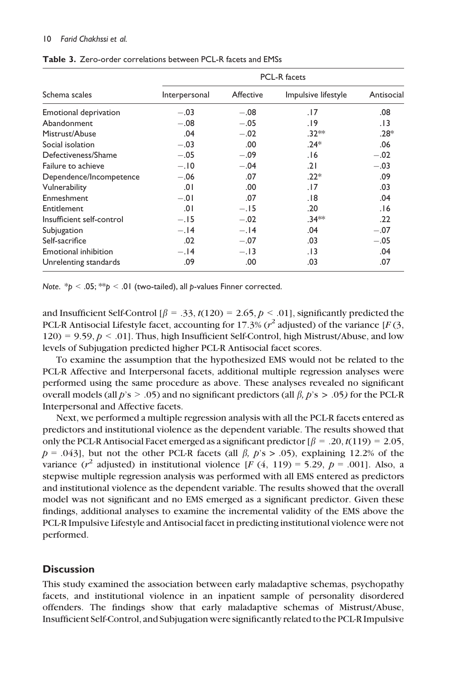| Schema scales             | <b>PCL-R</b> facets |           |                     |            |  |
|---------------------------|---------------------|-----------|---------------------|------------|--|
|                           | Interpersonal       | Affective | Impulsive lifestyle | Antisocial |  |
| Emotional deprivation     | $-.03$              | $-.08$    | .17                 | .08        |  |
| Abandonment               | $-.08$              | $-.05$    | .19                 | . I 3      |  |
| Mistrust/Abuse            | .04                 | $-.02$    | $.32**$             | $.28*$     |  |
| Social isolation          | $-.03$              | .00       | $.24*$              | .06        |  |
| Defectiveness/Shame       | $-.05$              | $-.09$    | .16                 | $-.02$     |  |
| Failure to achieve        | $-.10$              | $-.04$    | .21                 | $-.03$     |  |
| Dependence/Incompetence   | $-.06$              | .07       | $.22*$              | .09        |  |
| Vulnerability             | .01                 | .00.      | .17                 | .03        |  |
| Enmeshment                | $-.01$              | .07       | .18                 | .04        |  |
| Entitlement               | .01                 | $-.15$    | .20                 | . 16       |  |
| Insufficient self-control | $-.15$              | $-.02$    | $.34**$             | .22        |  |
| Subjugation               | $-.14$              | $-.14$    | .04                 | $-.07$     |  |
| Self-sacrifice            | .02                 | $-.07$    | .03                 | $-.05$     |  |
| Emotional inhibition      | $-.14$              | $-.13$    | .13                 | .04        |  |
| Unrelenting standards     | .09                 | .00       | .03                 | .07        |  |

Table 3. Zero-order correlations between PCL-R facets and EMSs

Note.  $* p < .05$ ;  $* p < .01$  (two-tailed), all p-values Finner corrected.

and Insufficient Self-Control  $\beta = .33$ ,  $t(120) = 2.65$ ,  $p < .01$ , significantly predicted the PCL-R Antisocial Lifestyle facet, accounting for 17.3% ( $r^2$  adjusted) of the variance [F(3,  $120$ ) = 9.59,  $p < .01$ . Thus, high Insufficient Self-Control, high Mistrust/Abuse, and low levels of Subjugation predicted higher PCL-R Antisocial facet scores.

To examine the assumption that the hypothesized EMS would not be related to the PCL-R Affective and Interpersonal facets, additional multiple regression analyses were performed using the same procedure as above. These analyses revealed no significant overall models (all  $p$ 's  $> .05$ ) and no significant predictors (all  $\beta$ ,  $p$ 's  $> .05$ ) for the PCL-R Interpersonal and Affective facets.

Next, we performed a multiple regression analysis with all the PCL-R facets entered as predictors and institutional violence as the dependent variable. The results showed that only the PCL-R Antisocial Facet emerged as a significant predictor  $\beta = .20, t(119) = 2.05$ ,  $p = .043$ ], but not the other PCL-R facets (all  $\beta$ ,  $p's > .05$ ), explaining 12.2% of the variance ( $r^2$  adjusted) in institutional violence [ $\overline{F}(4, 119) = 5.29$ ,  $p = .001$ ]. Also, a stepwise multiple regression analysis was performed with all EMS entered as predictors and institutional violence as the dependent variable. The results showed that the overall model was not significant and no EMS emerged as a significant predictor. Given these findings, additional analyses to examine the incremental validity of the EMS above the PCL-R Impulsive Lifestyle and Antisocial facet in predicting institutional violence were not performed.

### **Discussion**

This study examined the association between early maladaptive schemas, psychopathy facets, and institutional violence in an inpatient sample of personality disordered offenders. The findings show that early maladaptive schemas of Mistrust/Abuse, Insufficient Self-Control, and Subjugation were significantly related to the PCL-R Impulsive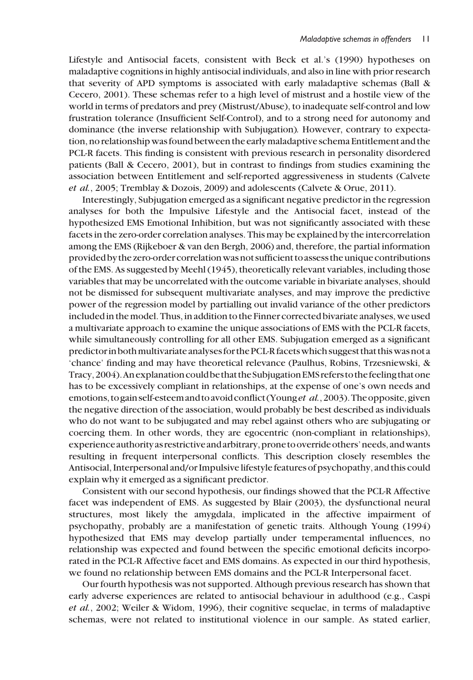Lifestyle and Antisocial facets, consistent with Beck et al.'s (1990) hypotheses on maladaptive cognitions in highly antisocial individuals, and also in line with prior research that severity of APD symptoms is associated with early maladaptive schemas (Ball & Cecero, 2001). These schemas refer to a high level of mistrust and a hostile view of the world in terms of predators and prey (Mistrust/Abuse), to inadequate self-control and low frustration tolerance (Insufficient Self-Control), and to a strong need for autonomy and dominance (the inverse relationship with Subjugation). However, contrary to expectation, no relationshipwas found between the earlymaladaptive schema Entitlement and the PCL-R facets. This finding is consistent with previous research in personality disordered patients (Ball & Cecero, 2001), but in contrast to findings from studies examining the association between Entitlement and self-reported aggressiveness in students (Calvete et al., 2005; Tremblay & Dozois, 2009) and adolescents (Calvete & Orue, 2011).

Interestingly, Subjugation emerged as a significant negative predictor in the regression analyses for both the Impulsive Lifestyle and the Antisocial facet, instead of the hypothesized EMS Emotional Inhibition, but was not significantly associated with these facets in the zero-order correlation analyses. This may be explained by the intercorrelation among the EMS (Rijkeboer & van den Bergh, 2006) and, therefore, the partial information provided by the zero-order correlationwas not sufficient to assess the unique contributions of the EMS. As suggested by Meehl (1945), theoretically relevant variables, including those variables that may be uncorrelated with the outcome variable in bivariate analyses, should not be dismissed for subsequent multivariate analyses, and may improve the predictive power of the regression model by partialling out invalid variance of the other predictors included in the model. Thus, in addition to the Finner corrected bivariate analyses, we used a multivariate approach to examine the unique associations of EMS with the PCL-R facets, while simultaneously controlling for all other EMS. Subjugation emerged as a significant predictorin bothmultivariate analyses for the PCL-R facetswhich suggest that thiswas not a 'chance' finding and may have theoretical relevance (Paulhus, Robins, Trzesniewski, & Tracy, 2004). An explanation could be that the Subjugation EMS refers to the feeling that one has to be excessively compliant in relationships, at the expense of one's own needs and emotions, to gain self-esteem and to avoid conflict (Young et al., 2003). The opposite, given the negative direction of the association, would probably be best described as individuals who do not want to be subjugated and may rebel against others who are subjugating or coercing them. In other words, they are egocentric (non-compliant in relationships), experience authority as restrictive and arbitrary, prone to override others' needs, and wants resulting in frequent interpersonal conflicts. This description closely resembles the Antisocial, Interpersonal and/or Impulsive lifestyle features of psychopathy, and this could explain why it emerged as a significant predictor.

Consistent with our second hypothesis, our findings showed that the PCL-R Affective facet was independent of EMS. As suggested by Blair (2003), the dysfunctional neural structures, most likely the amygdala, implicated in the affective impairment of psychopathy, probably are a manifestation of genetic traits. Although Young (1994) hypothesized that EMS may develop partially under temperamental influences, no relationship was expected and found between the specific emotional deficits incorporated in the PCL-R Affective facet and EMS domains. As expected in our third hypothesis, we found no relationship between EMS domains and the PCL-R Interpersonal facet.

Our fourth hypothesis was not supported. Although previous research has shown that early adverse experiences are related to antisocial behaviour in adulthood (e.g., Caspi et al., 2002; Weiler & Widom, 1996), their cognitive sequelae, in terms of maladaptive schemas, were not related to institutional violence in our sample. As stated earlier,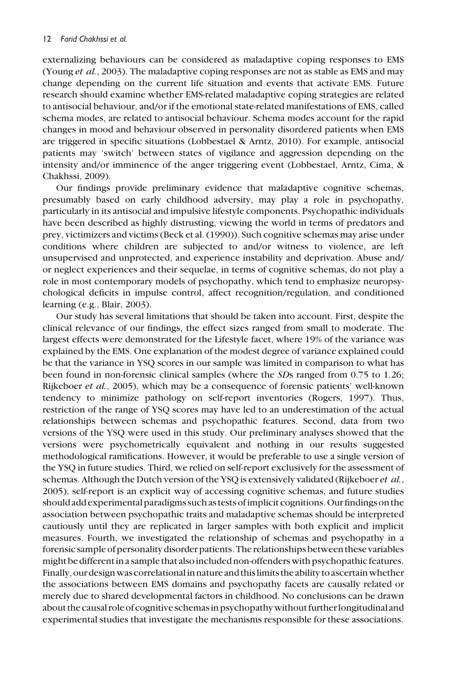externalizing behaviours can be considered as maladaptive coping responses to EMS (Young *et al.*, 2003). The maladaptive coping responses are not as stable as EMS and may change depending on the current life situation and events that activate EMS. Future research should examine whether EMS-related maladaptive coping strategies are related to antisocial behaviour, and/or if the emotional state-related manifestations of EMS, called schema modes, are related to antisocial behaviour. Schema modes account for the rapid changes in mood and behaviour observed in personality disordered patients when EMS are triggered in specific situations (Lobbestael & Arntz, 2010). For example, antisocial patients may 'switch' between states of vigilance and aggression depending on the intensity and/or imminence of the anger triggering event (Lobbestael, Arntz, Cima, & Chakhssi, 2009).

Our findings provide preliminary evidence that maladaptive cognitive schemas, presumably based on early childhood adversity, may play a role in psychopathy, particularly in its antisocial and impulsive lifestyle components. Psychopathic individuals have been described as highly distrusting, viewing the world in terms of predators and prey, victimizers and victims (Beck et al. (1990)). Such cognitive schemas may arise under conditions where children are subjected to and/or witness to violence, are left unsupervised and unprotected, and experience instability and deprivation. Abuse and/ or neglect experiences and their sequelae, in terms of cognitive schemas, do not play a role in most contemporary models of psychopathy, which tend to emphasize neuropsychological deficits in impulse control, affect recognition/regulation, and conditioned learning (e.g., Blair, 2003).

Our study has several limitations that should be taken into account. First, despite the clinical relevance of our findings, the effect sizes ranged from small to moderate. The largest effects were demonstrated for the Lifestyle facet, where 19% of the variance was explained by the EMS. One explanation of the modest degree of variance explained could be that the variance in YSQ scores in our sample was limited in comparison to what has been found in non-forensic clinical samples (where the SDs ranged from 0.75 to 1.26; Rijkeboer et al., 2005), which may be a consequence of forensic patients' well-known tendency to minimize pathology on self-report inventories (Rogers, 1997). Thus, restriction of the range of YSQ scores may have led to an underestimation of the actual relationships between schemas and psychopathic features. Second, data from two versions of the YSQ were used in this study. Our preliminary analyses showed that the versions were psychometrically equivalent and nothing in our results suggested methodological ramifications. However, it would be preferable to use a single version of the YSQ in future studies. Third, we relied on self-report exclusively for the assessment of schemas. Although the Dutch version of the YSQ is extensively validated (Rijkeboer *et al.*, 2005), self-report is an explicit way of accessing cognitive schemas, and future studies should add experimental paradigms such as tests of implicit cognitions. Our findings on the association between psychopathic traits and maladaptive schemas should be interpreted cautiously until they are replicated in larger samples with both explicit and implicit measures. Fourth, we investigated the relationship of schemas and psychopathy in a forensic sample of personality disorder patients. The relationships between these variables might be different in a sample that also included non-offenders with psychopathic features. Finally, our designwas correlationalin nature and thislimits the ability to ascertainwhether the associations between EMS domains and psychopathy facets are causally related or merely due to shared developmental factors in childhood. No conclusions can be drawn about the causal role of cognitive schemas in psychopathy without further longitudinal and experimental studies that investigate the mechanisms responsible for these associations.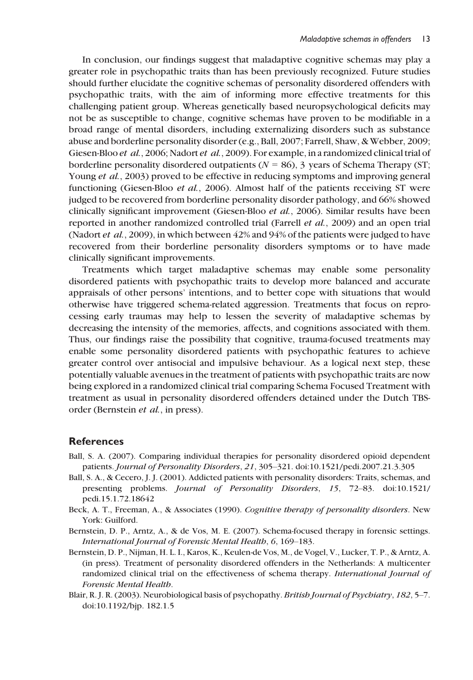In conclusion, our findings suggest that maladaptive cognitive schemas may play a greater role in psychopathic traits than has been previously recognized. Future studies should further elucidate the cognitive schemas of personality disordered offenders with psychopathic traits, with the aim of informing more effective treatments for this challenging patient group. Whereas genetically based neuropsychological deficits may not be as susceptible to change, cognitive schemas have proven to be modifiable in a broad range of mental disorders, including externalizing disorders such as substance abuse and borderline personality disorder (e.g., Ball, 2007; Farrell, Shaw, & Webber, 2009; Giesen-Bloo et al., 2006; Nadort et al., 2009). For example, in a randomized clinical trial of borderline personality disordered outpatients ( $N = 86$ ), 3 years of Schema Therapy (ST; Young *et al.*, 2003) proved to be effective in reducing symptoms and improving general functioning (Giesen-Bloo et al., 2006). Almost half of the patients receiving ST were judged to be recovered from borderline personality disorder pathology, and 66% showed clinically significant improvement (Giesen-Bloo et al., 2006). Similar results have been reported in another randomized controlled trial (Farrell et al., 2009) and an open trial (Nadort et al., 2009), in which between 42% and 94% of the patients were judged to have recovered from their borderline personality disorders symptoms or to have made clinically significant improvements.

Treatments which target maladaptive schemas may enable some personality disordered patients with psychopathic traits to develop more balanced and accurate appraisals of other persons' intentions, and to better cope with situations that would otherwise have triggered schema-related aggression. Treatments that focus on reprocessing early traumas may help to lessen the severity of maladaptive schemas by decreasing the intensity of the memories, affects, and cognitions associated with them. Thus, our findings raise the possibility that cognitive, trauma-focused treatments may enable some personality disordered patients with psychopathic features to achieve greater control over antisocial and impulsive behaviour. As a logical next step, these potentially valuable avenues in the treatment of patients with psychopathic traits are now being explored in a randomized clinical trial comparing Schema Focused Treatment with treatment as usual in personality disordered offenders detained under the Dutch TBSorder (Bernstein et al., in press).

#### References

- Ball, S. A. (2007). Comparing individual therapies for personality disordered opioid dependent patients. Journal of Personality Disorders, 21, 305–321. doi:10.1521/pedi.2007.21.3.305
- Ball, S. A., & Cecero, J. J. (2001). Addicted patients with personality disorders: Traits, schemas, and presenting problems. Journal of Personality Disorders, 15, 72–83. doi:10.1521/ pedi.15.1.72.18642
- Beck, A. T., Freeman, A., & Associates (1990). Cognitive therapy of personality disorders. New York: Guilford.
- Bernstein, D. P., Arntz, A., & de Vos, M. E. (2007). Schema-focused therapy in forensic settings. International Journal of Forensic Mental Health, 6, 169–183.
- Bernstein, D. P., Nijman, H. L. I., Karos, K., Keulen-de Vos, M., de Vogel, V., Lucker, T. P., & Arntz, A. (in press). Treatment of personality disordered offenders in the Netherlands: A multicenter randomized clinical trial on the effectiveness of schema therapy. International Journal of Forensic Mental Health.
- Blair, R. J. R. (2003). Neurobiological basis of psychopathy. British Journal of Psychiatry, 182, 5–7. doi:10.1192/bjp. 182.1.5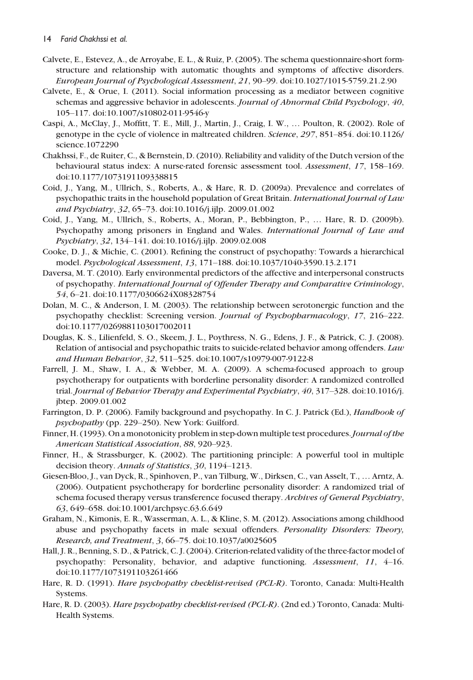- Calvete, E., Estevez, A., de Arroyabe, E. L., & Ruiz, P. (2005). The schema questionnaire-short formstructure and relationship with automatic thoughts and symptoms of affective disorders. European Journal of Psychological Assessment, 21, 90–99. doi:10.1027/1015-5759.21.2.90
- Calvete, E., & Orue, I. (2011). Social information processing as a mediator between cognitive schemas and aggressive behavior in adolescents. Journal of Abnormal Child Psychology, 40, 105–117. doi:10.1007/s10802-011-9546-y
- Caspi, A., McClay, J., Moffitt, T. E., Mill, J., Martin, J., Craig, I. W., … Poulton, R. (2002). Role of genotype in the cycle of violence in maltreated children. Science, 297, 851–854. doi:10.1126/ science.1072290
- Chakhssi, F., de Ruiter, C., & Bernstein, D. (2010). Reliability and validity of the Dutch version of the behavioural status index: A nurse-rated forensic assessment tool. Assessment, 17, 158–169. doi:10.1177/1073191109338815
- Coid, J., Yang, M., Ullrich, S., Roberts, A., & Hare, R. D. (2009a). Prevalence and correlates of psychopathic traits in the household population of Great Britain. International Journal of Law and Psychiatry, 32, 65–73. doi:10.1016/j.ijlp. 2009.01.002
- Coid, J., Yang, M., Ullrich, S., Roberts, A., Moran, P., Bebbington, P., … Hare, R. D. (2009b). Psychopathy among prisoners in England and Wales. International Journal of Law and Psychiatry, 32, 134–141. doi:10.1016/j.ijlp. 2009.02.008
- Cooke, D. J., & Michie, C. (2001). Refining the construct of psychopathy: Towards a hierarchical model. Psychological Assessment, 13, 171–188. doi:10.1037/1040-3590.13.2.171
- Daversa, M. T. (2010). Early environmental predictors of the affective and interpersonal constructs of psychopathy. International Journal of Offender Therapy and Comparative Criminology, 54, 6–21. doi:10.1177/0306624X08328754
- Dolan, M. C., & Anderson, I. M. (2003). The relationship between serotonergic function and the psychopathy checklist: Screening version. Journal of Psychopharmacology, 17, 216–222. doi:10.1177/0269881103017002011
- Douglas, K. S., Lilienfeld, S. O., Skeem, J. L., Poythress, N. G., Edens, J. F., & Patrick, C. J. (2008). Relation of antisocial and psychopathic traits to suicide-related behavior among offenders. Law and Human Behavior, 32, 511–525. doi:10.1007/s10979-007-9122-8
- Farrell, J. M., Shaw, I. A., & Webber, M. A. (2009). A schema-focused approach to group psychotherapy for outpatients with borderline personality disorder: A randomized controlled trial. Journal of Behavior Therapy and Experimental Psychiatry, 40, 317–328. doi:10.1016/j. jbtep. 2009.01.002
- Farrington, D. P. (2006). Family background and psychopathy. In C. J. Patrick (Ed.), Handbook of psychopathy (pp. 229–250). New York: Guilford.
- Finner, H. (1993). On a monotonicity problem in step-down multiple test procedures. Journal of the American Statistical Association, 88, 920–923.
- Finner, H., & Strassburger, K. (2002). The partitioning principle: A powerful tool in multiple decision theory. Annals of Statistics, 30, 1194–1213.
- Giesen-Bloo, J., van Dyck, R., Spinhoven, P., van Tilburg, W., Dirksen, C., van Asselt, T., … Arntz, A. (2006). Outpatient psychotherapy for borderline personality disorder: A randomized trial of schema focused therapy versus transference focused therapy. Archives of General Psychiatry, 63, 649–658. doi:10.1001/archpsyc.63.6.649
- Graham, N., Kimonis, E. R., Wasserman, A. L., & Kline, S. M. (2012). Associations among childhood abuse and psychopathy facets in male sexual offenders. Personality Disorders: Theory, Research, and Treatment, 3, 66–75. doi:10.1037/a0025605
- Hall, J. R., Benning, S. D., & Patrick, C. J. (2004). Criterion-related validity of the three-factor model of psychopathy: Personality, behavior, and adaptive functioning. Assessment, 11, 4–16. doi:10.1177/1073191103261466
- Hare, R. D. (1991). Hare psychopathy checklist-revised (PCL-R). Toronto, Canada: Multi-Health Systems.
- Hare, R. D. (2003). Hare psychopathy checklist-revised (PCL-R). (2nd ed.) Toronto, Canada: Multi-Health Systems.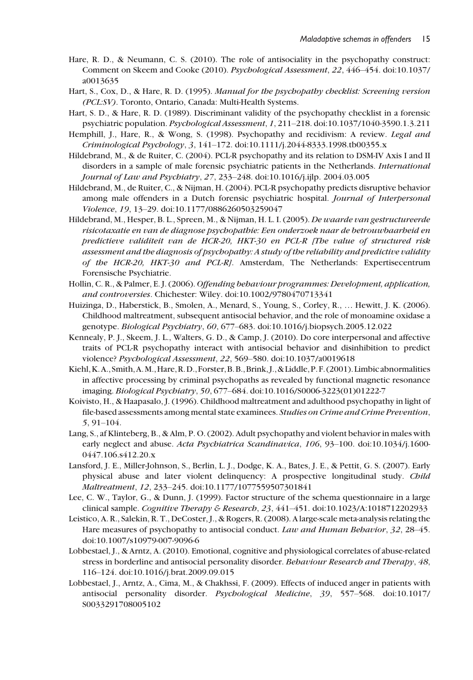- Hare, R. D., & Neumann, C. S. (2010). The role of antisociality in the psychopathy construct: Comment on Skeem and Cooke (2010). Psychological Assessment, 22, 446–454. doi:10.1037/ a0013635
- Hart, S., Cox, D., & Hare, R. D. (1995). Manual for the psychopathy checklist: Screening version (PCL:SV). Toronto, Ontario, Canada: Multi-Health Systems.
- Hart, S. D., & Hare, R. D. (1989). Discriminant validity of the psychopathy checklist in a forensic psychiatric population. Psychological Assessment, 1, 211–218. doi:10.1037/1040-3590.1.3.211
- Hemphill, J., Hare, R., & Wong, S. (1998). Psychopathy and recidivism: A review. Legal and Criminological Psychology, 3, 141–172. doi:10.1111/j.2044-8333.1998.tb00355.x
- Hildebrand, M., & de Ruiter, C. (2004). PCL-R psychopathy and its relation to DSM-IV Axis I and II disorders in a sample of male forensic psychiatric patients in the Netherlands. International Journal of Law and Psychiatry, 27, 233–248. doi:10.1016/j.ijlp. 2004.03.005
- Hildebrand, M., de Ruiter, C., & Nijman, H. (2004). PCL-R psychopathy predicts disruptive behavior among male offenders in a Dutch forensic psychiatric hospital. Journal of Interpersonal Violence, 19, 13–29. doi:10.1177/0886260503259047
- Hildebrand, M., Hesper, B. L., Spreen, M., & Nijman, H. L. I. (2005). De waarde van gestructureerde risicotaxatie en van de diagnose psychopathie: Een onderzoek naar de betrouwbaarheid en predictieve validiteit van de HCR-20, HKT-30 en PCL-R [The value of structured risk assessment and the diagnosis of psychopathy: A study of the reliability and predictive validity of the HCR-20, HKT-30 and PCL-R]. Amsterdam, The Netherlands: Expertisecentrum Forensische Psychiatrie.
- Hollin, C. R., & Palmer, E. J. (2006). Offending behaviour programmes: Development, application, and controversies. Chichester: Wiley. doi:10.1002/9780470713341
- Huizinga, D., Haberstick, B., Smolen, A., Menard, S., Young, S., Corley, R., … Hewitt, J. K. (2006). Childhood maltreatment, subsequent antisocial behavior, and the role of monoamine oxidase a genotype. Biological Psychiatry, 60, 677–683. doi:10.1016/j.biopsych.2005.12.022
- Kennealy, P. J., Skeem, J. L., Walters, G. D., & Camp, J. (2010). Do core interpersonal and affective traits of PCL-R psychopathy interact with antisocial behavior and disinhibition to predict violence? Psychological Assessment, 22, 569–580. doi:10.1037/a0019618
- Kiehl,K.A.,Smith,A.M.,Hare,R.D.,Forster,B.B.,Brink, J.,&Liddle,P. F. (2001).Limbicabnormalities in affective processing by criminal psychopaths as revealed by functional magnetic resonance imaging. Biological Psychiatry, 50, 677–684. doi:10.1016/S0006-3223(01)01222-7
- Koivisto, H., & Haapasalo, J. (1996). Childhood maltreatment and adulthood psychopathy in light of file-based assessments among mental state examinees. Studies on Crime and Crime Prevention, 5, 91–104.
- Lang, S., af Klinteberg, B., & Alm, P. O. (2002). Adult psychopathy and violent behavior in males with early neglect and abuse. Acta Psychiatrica Scandinavica, 106, 93–100. doi:10.1034/j.1600- 0447.106.s412.20.x
- Lansford, J. E., Miller-Johnson, S., Berlin, L. J., Dodge, K. A., Bates, J. E., & Pettit, G. S. (2007). Early physical abuse and later violent delinquency: A prospective longitudinal study. Child Maltreatment, 12, 233–245. doi:10.1177/1077559507301841
- Lee, C. W., Taylor, G., & Dunn, J. (1999). Factor structure of the schema questionnaire in a large clinical sample. Cognitive Therapy & Research, 23, 441–451. doi:10.1023/A:1018712202933
- Leistico, A. R., Salekin, R. T., DeCoster, J., & Rogers, R. (2008). A large-scale meta-analysis relating the Hare measures of psychopathy to antisocial conduct. Law and Human Behavior, 32, 28–45. doi:10.1007/s10979-007-9096-6
- Lobbestael, J., & Arntz, A. (2010). Emotional, cognitive and physiological correlates of abuse-related stress in borderline and antisocial personality disorder. Behaviour Research and Therapy, 48, 116–124. doi:10.1016/j.brat.2009.09.015
- Lobbestael, J., Arntz, A., Cima, M., & Chakhssi, F. (2009). Effects of induced anger in patients with antisocial personality disorder. Psychological Medicine, 39, 557–568. doi:10.1017/ S0033291708005102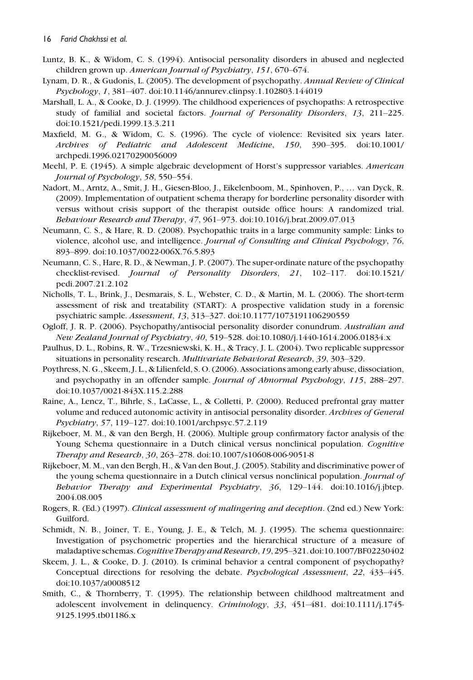- Luntz, B. K., & Widom, C. S. (1994). Antisocial personality disorders in abused and neglected children grown up. American Journal of Psychiatry, 151, 670–674.
- Lynam, D. R., & Gudonis, L. (2005). The development of psychopathy. Annual Review of Clinical Psychology, 1, 381–407. doi:10.1146/annurev.clinpsy.1.102803.144019
- Marshall, L. A., & Cooke, D. J. (1999). The childhood experiences of psychopaths: A retrospective study of familial and societal factors. Journal of Personality Disorders, 13, 211–225. doi:10.1521/pedi.1999.13.3.211
- Maxfield, M. G., & Widom, C. S. (1996). The cycle of violence: Revisited six years later. Archives of Pediatric and Adolescent Medicine, 150, 390–395. doi:10.1001/ archpedi.1996.02170290056009
- Meehl, P. E. (1945). A simple algebraic development of Horst's suppressor variables. American Journal of Psychology, 58, 550–554.
- Nadort, M., Arntz, A., Smit, J. H., Giesen-Bloo, J., Eikelenboom, M., Spinhoven, P., … van Dyck, R. (2009). Implementation of outpatient schema therapy for borderline personality disorder with versus without crisis support of the therapist outside office hours: A randomized trial. Behaviour Research and Therapy, 47, 961–973. doi:10.1016/j.brat.2009.07.013
- Neumann, C. S., & Hare, R. D. (2008). Psychopathic traits in a large community sample: Links to violence, alcohol use, and intelligence. Journal of Consulting and Clinical Psychology, 76, 893–899. doi:10.1037/0022-006X.76.5.893
- Neumann, C. S., Hare, R. D., & Newman, J. P. (2007). The super-ordinate nature of the psychopathy checklist-revised. Journal of Personality Disorders, 21, 102–117. doi:10.1521/ pedi.2007.21.2.102
- Nicholls, T. L., Brink, J., Desmarais, S. L., Webster, C. D., & Martin, M. L. (2006). The short-term assessment of risk and treatability (START): A prospective validation study in a forensic psychiatric sample. Assessment, 13, 313–327. doi:10.1177/1073191106290559
- Ogloff, J. R. P. (2006). Psychopathy/antisocial personality disorder conundrum. Australian and New Zealand Journal of Psychiatry, 40, 519–528. doi:10.1080/j.1440-1614.2006.01834.x
- Paulhus, D. L., Robins, R. W., Trzesniewski, K. H., & Tracy, J. L. (2004). Two replicable suppressor situations in personality research. Multivariate Behavioral Research, 39, 303-329.
- Poythress, N. G., Skeem, J. L., & Lilienfeld, S. O. (2006). Associations among early abuse, dissociation, and psychopathy in an offender sample. *Journal of Abnormal Psychology*, 115, 288–297. doi:10.1037/0021-843X.115.2.288
- Raine, A., Lencz, T., Bihrle, S., LaCasse, L., & Colletti, P. (2000). Reduced prefrontal gray matter volume and reduced autonomic activity in antisocial personality disorder. Archives of General Psychiatry, 57, 119–127. doi:10.1001/archpsyc.57.2.119
- Rijkeboer, M. M., & van den Bergh, H. (2006). Multiple group confirmatory factor analysis of the Young Schema questionnaire in a Dutch clinical versus nonclinical population. Cognitive Therapy and Research, 30, 263–278. doi:10.1007/s10608-006-9051-8
- Rijkeboer, M. M., van den Bergh, H., & Van den Bout, J. (2005). Stability and discriminative power of the young schema questionnaire in a Dutch clinical versus nonclinical population. Journal of Behavior Therapy and Experimental Psychiatry, 36, 129–144. doi:10.1016/j.jbtep. 2004.08.005
- Rogers, R. (Ed.) (1997). Clinical assessment of malingering and deception. (2nd ed.) New York: Guilford.
- Schmidt, N. B., Joiner, T. E., Young, J. E., & Telch, M. J. (1995). The schema questionnaire: Investigation of psychometric properties and the hierarchical structure of a measure of maladaptive schemas.Cognitive Therapy and Research,19, 295–321. doi:10.1007/BF02230402
- Skeem, J. L., & Cooke, D. J. (2010). Is criminal behavior a central component of psychopathy? Conceptual directions for resolving the debate. Psychological Assessment, 22, 433–445. doi:10.1037/a0008512
- Smith, C., & Thornberry, T. (1995). The relationship between childhood maltreatment and adolescent involvement in delinquency. Criminology, 33, 451–481. doi:10.1111/j.1745- 9125.1995.tb01186.x